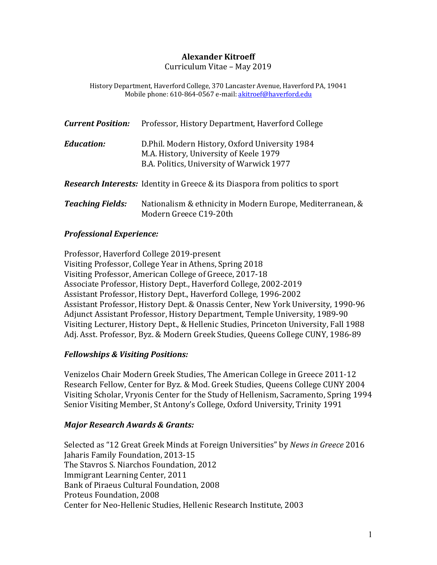#### **Alexander Kitroeff**

Curriculum Vitae – May 2019

History Department, Haverford College, 370 Lancaster Avenue, Haverford PA, 19041 Mobile phone: 610-864-0567 e-mail: akitroef@haverford.edu

| <b>Current Position:</b> | Professor, History Department, Haverford College                                                                                       |
|--------------------------|----------------------------------------------------------------------------------------------------------------------------------------|
| <b>Education:</b>        | D. Phil. Modern History, Oxford University 1984<br>M.A. History, University of Keele 1979<br>B.A. Politics, University of Warwick 1977 |
|                          | <b>Research Interests:</b> Identity in Greece & its Diaspora from politics to sport                                                    |
| <b>Teaching Fields:</b>  | Nationalism & ethnicity in Modern Europe, Mediterranean, &<br>Modern Greece C19-20th                                                   |

#### *Professional Experience:*

Professor, Haverford College 2019-present Visiting Professor, College Year in Athens, Spring 2018 Visiting Professor, American College of Greece, 2017-18 Associate Professor, History Dept., Haverford College, 2002-2019 Assistant Professor, History Dept., Haverford College, 1996-2002 Assistant Professor, History Dept. & Onassis Center, New York University, 1990-96 Adjunct Assistant Professor, History Department, Temple University, 1989-90 Visiting Lecturer, History Dept., & Hellenic Studies, Princeton University, Fall 1988 Adj. Asst. Professor, Byz. & Modern Greek Studies, Queens College CUNY, 1986-89

#### *Fellowships & Visiting Positions:*

Venizelos Chair Modern Greek Studies, The American College in Greece 2011-12 Research Fellow, Center for Byz. & Mod. Greek Studies, Queens College CUNY 2004 Visiting Scholar, Vryonis Center for the Study of Hellenism, Sacramento, Spring 1994 Senior Visiting Member, St Antony's College, Oxford University, Trinity 1991

#### *Major Research Awards & Grants:*

Selected as "12 Great Greek Minds at Foreign Universities" by *News in Greece* 2016 Jaharis Family Foundation, 2013-15 The Stavros S. Niarchos Foundation, 2012 Immigrant Learning Center, 2011 Bank of Piraeus Cultural Foundation, 2008 Proteus Foundation, 2008 Center for Neo-Hellenic Studies, Hellenic Research Institute, 2003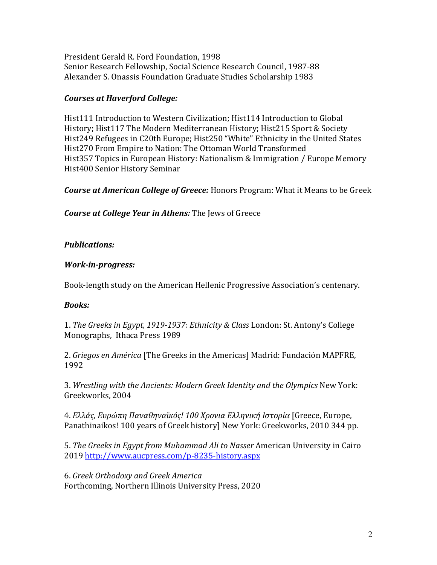President Gerald R. Ford Foundation, 1998 Senior Research Fellowship, Social Science Research Council, 1987-88 Alexander S. Onassis Foundation Graduate Studies Scholarship 1983

# *Courses at Haverford College:*

Hist111 Introduction to Western Civilization; Hist114 Introduction to Global History; Hist117 The Modern Mediterranean History; Hist215 Sport & Society Hist249 Refugees in C20th Europe; Hist250 "White" Ethnicity in the United States Hist270 From Empire to Nation: The Ottoman World Transformed Hist357 Topics in European History: Nationalism & Immigration / Europe Memory Hist400 Senior History Seminar

*Course at American College of Greece:* Honors Program: What it Means to be Greek

*Course at College Year in Athens:* The Jews of Greece

# *Publications:*

# *Work-in-progress:*

Book-length study on the American Hellenic Progressive Association's centenary.

# *Books:*

1. The Greeks in Egypt, 1919-1937: Ethnicity & Class London: St. Antony's College Monographs, Ithaca Press 1989

2. *Griegos en América* [The Greeks in the Americas] Madrid: Fundación MAPFRE, 1992 

3. Wrestling with the Ancients: Modern Greek Identity and the Olympics New York: Greekworks, 2004

4. *Ελλάς, Ευρώπη Παναθηναϊκός! 100 Χρονια Ελληνική Ιστορία* [Greece, Europe, Panathinaikos! 100 years of Greek history] New York: Greekworks, 2010 344 pp.

5. *The Greeks in Egypt from Muhammad Ali to Nasser* American University in Cairo 2019 http://www.aucpress.com/p-8235-history.aspx

6. *Greek Orthodoxy and Greek America* Forthcoming, Northern Illinois University Press, 2020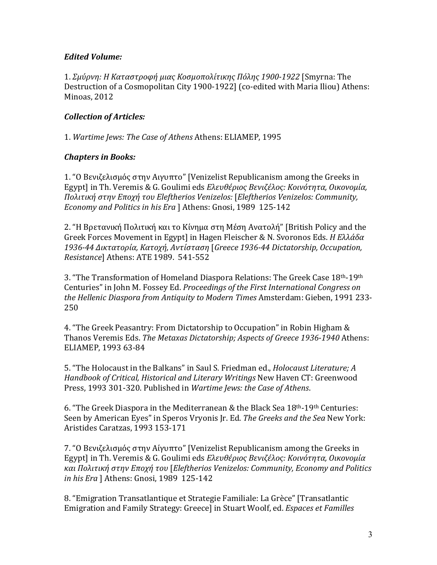### *Edited Volume:*

1. *Σμύρνη: Η Καταστροφή μιας Κοσμοπολίτικης Πόλης 1900-1922* [Smyrna: The Destruction of a Cosmopolitan City 1900-1922] (co-edited with Maria Iliou) Athens: Minoas, 2012

## *Collection of Articles:*

1. Wartime Jews: The Case of Athens Athens: ELIAMEP, 1995

### *Chapters in Books:*

1. "Ο Βενιζελισμός στην Αιγυπτο" [Venizelist Republicanism among the Greeks in Egypt] in Th. Veremis & G. Goulimi eds *Ελευθέριος Βενιζέλος: Κοινότητα, Οικονομία, Πολιτική στην Εποχή του Eleftherios Venizelos:* [*Eleftherios Venizelos: Community, Economy and Politics in his Era* ] Athens: Gnosi, 1989 125-142

2. "Η Βρετανική Πολιτική και το Κίνημα στη Μέση Ανατολή" [British Policy and the Greek Forces Movement in Egypt] in Hagen Fleischer & N. Svoronos Eds. *Η Ελλάδα 1936-44 Δικτατορία, Κατοχή, Αντίσταση* [*Greece 1936-44 Dictatorship, Occupation, Resistance*] Athens: ATE 1989. 541-552

3. "The Transformation of Homeland Diaspora Relations: The Greek Case 18<sup>th</sup>-19<sup>th</sup> Centuries" in John M. Fossey Ed. *Proceedings of the First International Congress on the Hellenic Diaspora from Antiquity to Modern Times Amsterdam: Gieben, 1991 233-*250

4. "The Greek Peasantry: From Dictatorship to Occupation" in Robin Higham & Thanos Veremis Eds. *The Metaxas Dictatorship; Aspects of Greece 1936-1940* Athens: ELIAMEP, 1993 63-84

5. "The Holocaust in the Balkans" in Saul S. Friedman ed., *Holocaust Literature; A Handbook of Critical, Historical and Literary Writings* New Haven CT: Greenwood Press, 1993 301-320. Published in *Wartime Jews: the Case of Athens*.

6. "The Greek Diaspora in the Mediterranean & the Black Sea  $18<sup>th</sup>$ -19<sup>th</sup> Centuries: Seen by American Eyes" in Speros Vryonis Jr. Ed. The Greeks and the Sea New York: Aristides Caratzas, 1993 153-171

7. "Ο Βενιζελισμός στην Αίγυπτο" [Venizelist Republicanism among the Greeks in Egypt] in Th. Veremis & G. Goulimi eds *Ελευθέριος Βενιζέλος: Κοινότητα, Οικονομία και Πολιτική στην Εποχή του* [*Eleftherios Venizelos: Community, Economy and Politics in his Era* ] Athens: Gnosi, 1989 125-142

8. "Emigration Transatlantique et Strategie Familiale: La Grèce" [Transatlantic Emigration and Family Strategy: Greece] in Stuart Woolf, ed. *Espaces et Familles*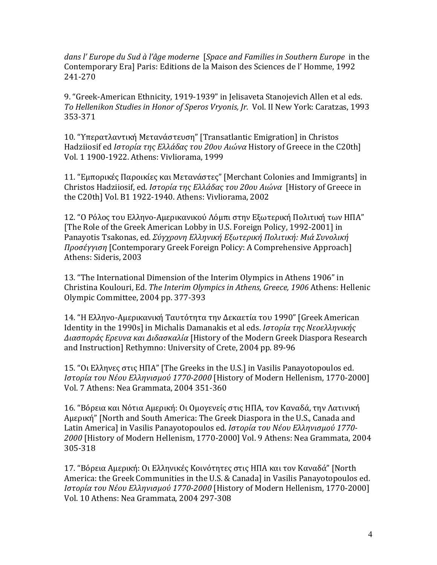dans l' Europe du Sud à l'âge moderne [Space and Families in Southern Europe in the Contemporary Era] Paris: Editions de la Maison des Sciences de l'Homme, 1992 241-270

9. "Greek-American Ethnicity, 1919-1939" in Jelisaveta Stanojevich Allen et al eds. To Hellenikon Studies in Honor of Speros Vryonis, Ir. Vol. II New York: Caratzas, 1993 353-371 

10. "Υπερατλαντική Μετανάστευση" [Transatlantic Emigration] in Christos Hadziiosif ed *Ιστορία της Ελλάδας του 20ου Αιώνα* History of Greece in the C20th] Vol. 1 1900-1922. Athens: Vivliorama, 1999

11. "Εμπορικές Παροικίες και Μετανάστες" [Merchant Colonies and Immigrants] in Christos Hadziiosif, ed. *Ιστορία της Ελλάδας του 20ου Αιώνα* [History of Greece in the C20th] Vol. B1 1922-1940. Athens: Vivliorama, 2002

12. "Ο Ρόλος του Ελληνο-Αμερικανικού Λόμπι στην Εξωτερική Πολιτική των ΗΠΑ" [The Role of the Greek American Lobby in U.S. Foreign Policy, 1992-2001] in Panayotis Tsakonas, ed. *Σύγχρονη Ελληνική Εξωτερική Πολιτική: Μιά Συνολική Προσέγγιση* [Contemporary Greek Foreign Policy: A Comprehensive Approach] Athens: Sideris, 2003

13. "The International Dimension of the Interim Olympics in Athens 1906" in Christina Koulouri, Ed. *The Interim Olympics in Athens, Greece, 1906* Athens: Hellenic Olympic Committee, 2004 pp. 377-393

14. "Η Ελληνο-Αμερικανική Ταυτότητα την Δεκαετία του 1990" [Greek American Identity in the 1990s] in Michalis Damanakis et al eds. *Ιστορία της Νεοελληνικής Διασποράς Ερευνα και Διδασκαλία* [History of the Modern Greek Diaspora Research and Instruction] Rethymno: University of Crete, 2004 pp. 89-96

15. "Οι Ελληνες στις ΗΠΑ" [The Greeks in the U.S.] in Vasilis Panayotopoulos ed. *Ιστορία του Νέου Ελληνισμού 1770-2000* [History of Modern Hellenism, 1770-2000] Vol. 7 Athens: Nea Grammata, 2004 351-360

16. "Βόρεια και Νότια Αμερική: Οι Ομογενείς στις ΗΠΑ, τον Καναδά, την Λατινική Aμερική" [North and South America: The Greek Diaspora in the U.S., Canada and Latin America] in Vasilis Panayotopoulos ed. *Ιστορία του Νέου Ελληνισμού 1770-*2000 [History of Modern Hellenism, 1770-2000] Vol. 9 Athens: Nea Grammata, 2004 305-318

17. "Βόρεια Αμερική: Οι Ελληνικές Κοινότητες στις ΗΠΑ και τον Καναδά" [North America: the Greek Communities in the U.S. & Canada] in Vasilis Panayotopoulos ed. *Ιστορία του Νέου Ελληνισμού 1770-2000* [History of Modern Hellenism, 1770-2000] Vol. 10 Athens: Nea Grammata, 2004 297-308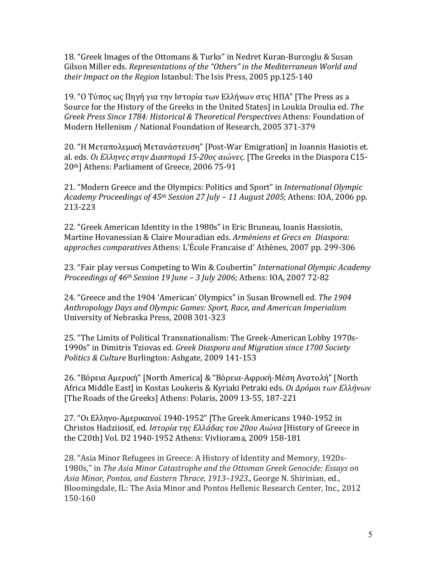18. "Greek Images of the Ottomans & Turks" in Nedret Kuran-Burcoglu & Susan Gilson Miller eds. *Representations of the "Others" in the Mediterranean World and their Impact on the Region Istanbul: The Isis Press, 2005 pp.125-140* 

19. "Ο Τύπος ως Πηγή για την Ιστορία των Ελλήνων στις ΗΠΑ" [The Press as a Source for the History of the Greeks in the United States] in Loukia Droulia ed. The *Greek Press Since 1784: Historical & Theoretical Perspectives* Athens: Foundation of Modern Hellenism / National Foundation of Research, 2005 371-379

20. "Η Μεταπολεμική Μετανάστευση" [Post-War Emigration] in Ioannis Hasiotis et. al. eds. *Οι Ελληνες στην Διασπορά 15-20ος αιώνες.* [The Greeks in the Diaspora C15-20<sup>th</sup>] Athens: Parliament of Greece, 2006 75-91

21. "Modern Greece and the Olympics: Politics and Sport" in *International Olympic Academy Proceedings of 45th Session 27 July – 11 August 2005*; Athens: IOA, 2006 pp. 213-223

22. "Greek American Identity in the 1980s" in Eric Bruneau, Ioanis Hassiotis, Martine Hovanessian & Claire Mouradian eds. Arméniens et Grecs en Diaspora: *approches comparatives* Athens: L'École Francaise d' Athènes, 2007 pp. 299-306

23. "Fair play versus Competing to Win & Coubertin" *International Olympic Academy Proceedings of 46<sup>th</sup> Session 19 June - 3 July 2006*; Athens: IOA, 2007 72-82

24. "Greece and the 1904 'American' Olympics" in Susan Brownell ed. The 1904 *Anthropology Days and Olympic Games: Sport, Race, and American Imperialism* University of Nebraska Press, 2008 301-323

25. "The Limits of Political Transnationalism: The Greek-American Lobby 1970s-1990s" in Dimitris Tziovas ed. *Greek Diaspora and Migration since 1700 Society Politics & Culture Burlington: Ashgate, 2009 141-153* 

26. "Βόρεια Αμερική" [North America] & "Βόρεια-Αφρική-Μέση Ανατολή" [North Africa Middle East] in Kostas Loukeris & Kyriaki Petraki eds. *Οι Δρόμοι των Ελλήνων* [The Roads of the Greeks] Athens: Polaris, 2009 13-55, 187-221

27. "Οι Ελληνο-Αμερικανοί 1940-1952" [The Greek Americans 1940-1952 in Christos Hadziiosif, ed. *Ιστορία της Ελλάδας του 20ου Αιώνα* [History of Greece in the C20th] Vol. D2 1940-1952 Athens: Vivliorama, 2009 158-181

28. "Asia Minor Refugees in Greece: A History of Identity and Memory, 1920s-1980s," in The Asia Minor Catastrophe and the Ottoman Greek Genocide: Essays on Asia Minor, Pontos, and Eastern Thrace, 1913–1923., George N. Shirinian, ed., Bloomingdale, IL: The Asia Minor and Pontos Hellenic Research Center, Inc., 2012 150-160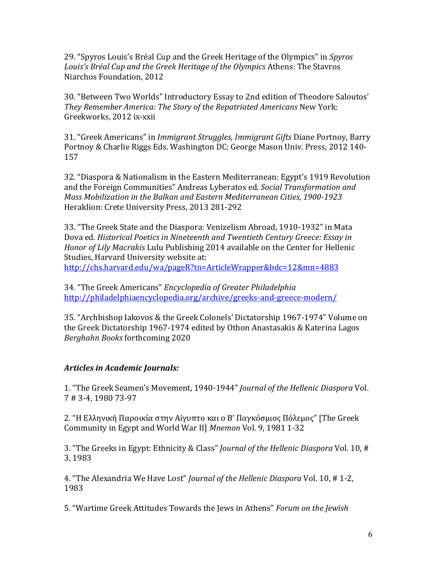29. "Spyros Louis's Bréal Cup and the Greek Heritage of the Olympics" in *Spyros* Louis's Bréal Cup and the Greek Heritage of the Olympics Athens: The Stavros Niarchos Foundation, 2012

30. "Between Two Worlds" Introductory Essay to 2nd edition of Theodore Saloutos' *They Remember America: The Story of the Repatriated Americans New York:* Greekworks, 2012 ix-xxii

31. "Greek Americans" in *Immigrant Struggles, Immigrant Gifts* Diane Portnoy, Barry Portnoy & Charlie Riggs Eds. Washington DC: George Mason Univ. Press, 2012 140-157

32. "Diaspora & Nationalism in the Eastern Mediterranean: Egypt's 1919 Revolution and the Foreign Communities" Andreas Lyberatos ed. *Social Transformation and Mass Mobilization in the Balkan and Eastern Mediterranean Cities, 1900-1923* Heraklion: Crete University Press, 2013 281-292

33. "The Greek State and the Diaspora: Venizelism Abroad, 1910-1932" in Mata Dova ed. *Historical Poetics in Nineteenth and Twentieth Century Greece: Essay in Honor of Lily Macrakis* Lulu Publishing 2014 available on the Center for Hellenic Studies, Harvard University website at: http://chs.harvard.edu/wa/pageR?tn=ArticleWrapper&bdc=12&mn=4883

34. "The Greek Americans" *Encyclopedia of Greater Philadelphia* http://philadelphiaencyclopedia.org/archive/greeks-and-greece-modern/ 

35. "Archbishop Iakovos & the Greek Colonels' Dictatorship 1967-1974" Volume on the Greek Dictatorship 1967-1974 edited by Othon Anastasakis & Katerina Lagos *Berghahn Books* forthcoming 2020

# Articles in Academic Journals:

1. "The Greek Seamen's Movement, 1940-1944" *Journal of the Hellenic Diaspora* Vol. 7 # 3-4, 1980 73-97

2. "Η Ελληνική Παροικία στην Αίγυπτο και ο Β' Παγκόσμιος Πόλεμος" [The Greek Community in Egypt and World War II] *Mnemon* Vol. 9, 1981 1-32

3. "The Greeks in Egypt: Ethnicity & Class" *Journal of the Hellenic Diaspora* Vol. 10, # 3, 1983

4. "The Alexandria We Have Lost" *Journal of the Hellenic Diaspora* Vol. 10, #1-2, 1983

5. "Wartime Greek Attitudes Towards the Jews in Athens" Forum on the Jewish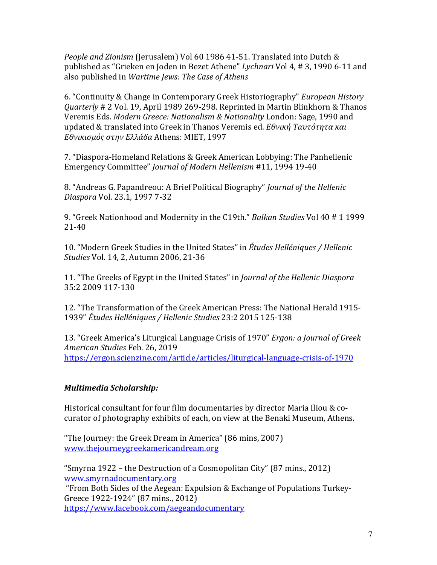*People and Zionism* (Jerusalem) Vol 60 1986 41-51. Translated into Dutch & published as "Grieken en Joden in Bezet Athene" *Lychnari* Vol 4, # 3, 1990 6-11 and also published in *Wartime Jews: The Case of Athens* 

6. "Continuity & Change in Contemporary Greek Historiography" *European History Quarterly* # 2 Vol. 19, April 1989 269-298. Reprinted in Martin Blinkhorn & Thanos Veremis Eds. Modern Greece: Nationalism & Nationality London: Sage, 1990 and updated & translated into Greek in Thanos Veremis ed. *Εθνική Ταυτότητα και Εθνικισμός στην Ελλάδα* Athens: MIET, 1997

7. "Diaspora-Homeland Relations & Greek American Lobbying: The Panhellenic Emergency Committee" *Journal of Modern Hellenism* #11, 1994 19-40

8. "Andreas G. Papandreou: A Brief Political Biography" *Journal of the Hellenic Diaspora* Vol. 23.1, 1997 7-32

9. "Greek Nationhood and Modernity in the C19th." *Balkan Studies* Vol 40 # 1 1999 21-40

10. "Modern Greek Studies in the United States" in *Études Helléniques / Hellenic Studies* Vol. 14, 2, Autumn 2006, 21-36

11. "The Greeks of Egypt in the United States" in *Journal of the Hellenic Diaspora* 35:2 2009 117-130

12. "The Transformation of the Greek American Press: The National Herald 1915-1939" *Études Helléniques / Hellenic Studies* 23:2 2015 125-138

13. "Greek America's Liturgical Language Crisis of 1970" *Ergon: a Journal of Greek American Studies* Feb. 26, 2019 https://ergon.scienzine.com/article/articles/liturgical-language-crisis-of-1970

# *Multimedia Scholarship:*

Historical consultant for four film documentaries by director Maria Iliou & cocurator of photography exhibits of each, on view at the Benaki Museum, Athens.

"The Journey: the Greek Dream in America" (86 mins, 2007) www.thejourneygreekamericandream.org

"Smyrna  $1922$  – the Destruction of a Cosmopolitan City" (87 mins., 2012) www.smyrnadocumentary.org "From Both Sides of the Aegean: Expulsion & Exchange of Populations Turkey-Greece 1922-1924" (87 mins., 2012) https://www.facebook.com/aegeandocumentary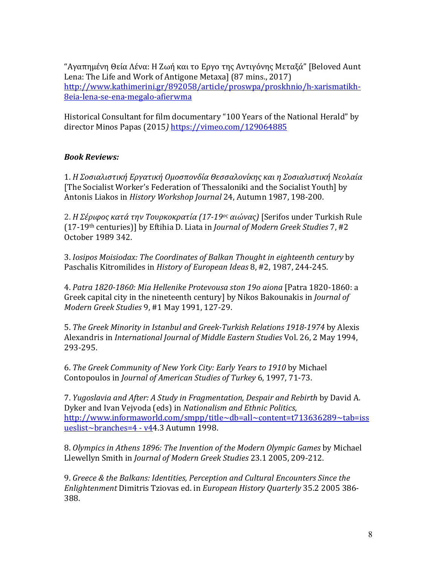"Αγαπημένη Θεία Λένα: Η Ζωή και το Εργο της Αντιγόνης Μεταξά" [Beloved Aunt Lena: The Life and Work of Antigone Metaxa] (87 mins., 2017) http://www.kathimerini.gr/892058/article/proswpa/proskhnio/h-xarismatikh-8eia-lena-se-ena-megalo-afierwma

Historical Consultant for film documentary "100 Years of the National Herald" by director Minos Papas (2015) https://vimeo.com/129064885

### *Book Reviews:*

1. Η Σοσιαλιστική Εργατική Ομοσπονδία Θεσσαλονίκης και η Σοσιαλιστική Νεολαία [The Socialist Worker's Federation of Thessaloniki and the Socialist Youth] by Antonis Liakos in *History Workshop Journal* 24, Autumn 1987, 198-200.

2. *Η Σέριφος κατά την Τουρκοκρατία (17-19ος αιώνας)* [Serifos under Turkish Rule (17-19<sup>th</sup> centuries)] by Eftihia D. Liata in *Journal of Modern Greek Studies* 7, #2 October 1989 342.

3. *Iosipos Moisiodax: The Coordinates of Balkan Thought in eighteenth century* by Paschalis Kitromilides in *History of European Ideas* 8, #2, 1987, 244-245.

4. *Patra 1820-1860: Mia Hellenike Protevousa ston 19ο aiona* [Patra 1820-1860: a Greek capital city in the nineteenth century] by Nikos Bakounakis in *Journal of Modern Greek Studies* 9, #1 May 1991, 127-29.

5. The Greek Minority in Istanbul and Greek-Turkish Relations 1918-1974 by Alexis Alexandris in *International Journal of Middle Eastern Studies* Vol. 26, 2 May 1994, 293-295.

6. *The Greek Community of New York City: Early Years to 1910* by Michael Contopoulos in *Journal of American Studies of Turkey* 6, 1997, 71-73.

7. *Yugoslavia and After: A Study in Fragmentation, Despair and Rebirth by David A.* Dyker and Ivan Vejvoda (eds) in *Nationalism and Ethnic Politics*, http://www.informaworld.com/smpp/title~db=all~content=t713636289~tab=iss ueslist~branches=4 - v44.3 Autumn 1998.

8. Olympics in Athens 1896: The Invention of the Modern Olympic Games by Michael Llewellyn Smith in *Journal of Modern Greek Studies* 23.1 2005, 209-212.

9. Greece & the Balkans: Identities, Perception and Cultural Encounters Since the *Enlightenment* Dimitris Tziovas ed. in *European History Quarterly* 35.2 2005 386- 388.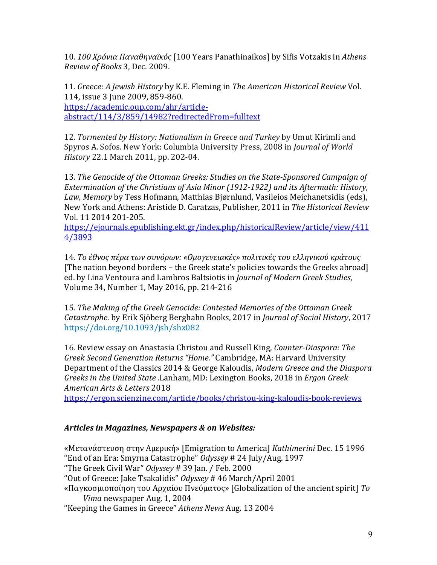10. 100 Χρόνια Παναθηναϊκός [100 Years Panathinaikos] by Sifis Votzakis in Athens *Review of Books* 3, Dec. 2009.

11. *Greece: A Jewish History by K.E. Fleming in The American Historical Review Vol.* 114, issue 3 June 2009, 859-860. https://academic.oup.com/ahr/articleabstract/114/3/859/14982?redirectedFrom=fulltext

12. *Tormented by History: Nationalism in Greece and Turkey* by Umut Kirimli and Spyros A. Sofos. New York: Columbia University Press, 2008 in *Journal of World History* 22.1 March 2011, pp. 202-04.

13. *The Genocide of the Ottoman Greeks: Studies on the State-Sponsored Campaign of Extermination* of the Christians of Asia Minor (1912-1922) and its Aftermath: History, Law, Memory by Tess Hofmann, Matthias Bjørnlund, Vasileios Meichanetsidis (eds), New York and Athens: Aristide D. Caratzas, Publisher, 2011 in *The Historical Review* Vol. 11 2014 201-205.

https://ejournals.epublishing.ekt.gr/index.php/historicalReview/article/view/411 4/3893

14. Το έθνος πέρα των συνόρων: «Ομογενειακές» πολιτικές του ελληνικού κράτους [The nation beyond borders – the Greek state's policies towards the Greeks abroad] ed. by Lina Ventoura and Lambros Baltsiotis in *Journal of Modern Greek Studies*, Volume 34, Number 1, May 2016, pp. 214-216

15. *The Making of the Greek Genocide: Contested Memories of the Ottoman Greek Catastrophe.* by Erik Sjöberg Berghahn Books, 2017 in *Journal of Social History*, 2017 https://doi.org/10.1093/jsh/shx082

16. Review essay on Anastasia Christou and Russell King, *Counter-Diaspora: The Greek Second Generation Returns "Home."* Cambridge, MA: Harvard University Department of the Classics 2014 & George Kaloudis, *Modern Greece and the Diaspora Greeks in the United State .*Lanham, MD: Lexington Books, 2018 in *Ergon Greek American Arts & Letters* 2018

https://ergon.scienzine.com/article/books/christou-king-kaloudis-book-reviews

# *Articles in Magazines, Newspapers & on Websites:*

«Μετανάστευση στην Αμερική» [Emigration to America] *Kathimerini* Dec. 15 1996 "End of an Era: Smyrna Catastrophe" Odyssey # 24 July/Aug. 1997 "The Greek Civil War" *Odyssey* # 39 Jan. / Feb. 2000 "Out of Greece: Jake Tsakalidis" Odyssey # 46 March/April 2001 «Παγκοσμιοποίηση του Αρχαίου Πνεύματος» [Globalization of the ancient spirit] *Το Vima* newspaper Aug. 1, 2004 "Keeping the Games in Greece" Athens News Aug. 13 2004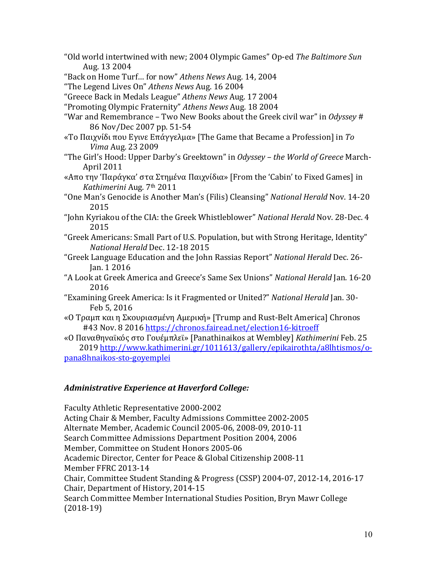"Old world intertwined with new; 2004 Olympic Games" Op-ed The Baltimore Sun Aug. 13 2004

"Back on Home Turf... for now" Athens News Aug. 14, 2004

"The Legend Lives On" *Athens News* Aug. 16 2004

"Greece Back in Medals League" *Athens News* Aug. 17 2004

"Promoting Olympic Fraternity" *Athens News* Aug. 18 2004

"War and Remembrance – Two New Books about the Greek civil war" in *Odyssey* # 86 Nov/Dec 2007 pp. 51-54

- «Το Παιχνίδι που Εγινε Επάγγελμα» [The Game that Became a Profession] in *To Vima* Aug. 23 2009
- "The Girl's Hood: Upper Darby's Greektown" in *Odyssey the World of Greece* March- April 2011
- «Απο την 'Παράγκα' στα Στημένα Παιχνίδια» [From the 'Cabin' to Fixed Games] in *Kathimerini* Aug. 7th 2011
- "One Man's Genocide is Another Man's (Filis) Cleansing" National Herald Nov. 14-20 2015
- "John Kyriakou of the CIA: the Greek Whistleblower" National Herald Nov. 28-Dec. 4 2015
- "Greek Americans: Small Part of U.S. Population, but with Strong Heritage, Identity" *National Herald* Dec. 12-18 2015
- "Greek Language Education and the John Rassias Report" *National Herald* Dec. 26- Jan. 1 2016
- "A Look at Greek America and Greece's Same Sex Unions" *National Herald* Jan. 16-20 2016
- "Examining Greek America: Is it Fragmented or United?" *National Herald* Jan. 30-Feb 5, 2016
- «Ο Τραμπ και η Σκουριασμένη Αμερική» [Trump and Rust-Belt America] Chronos #43 Nov. 8 2016 https://chronos.fairead.net/election16-kitroeff
- «Ο Παναθηναϊκός στο Γουέμπλεϊ» [Panathinaikos at Wembley] *Kathimerini* Feb. 25 2019 http://www.kathimerini.gr/1011613/gallery/epikairothta/a8lhtismos/opana8hnaikos-sto-goyemplei

#### *Administrative Experience at Haverford College:*

Faculty Athletic Representative 2000-2002 Acting Chair & Member, Faculty Admissions Committee 2002-2005 Alternate Member, Academic Council 2005-06, 2008-09, 2010-11 Search Committee Admissions Department Position 2004, 2006 Member, Committee on Student Honors 2005-06 Academic Director, Center for Peace & Global Citizenship 2008-11 Member FFRC 2013-14 Chair, Committee Student Standing & Progress (CSSP) 2004-07, 2012-14, 2016-17 Chair, Department of History, 2014-15 Search Committee Member International Studies Position, Bryn Mawr College (2018-19)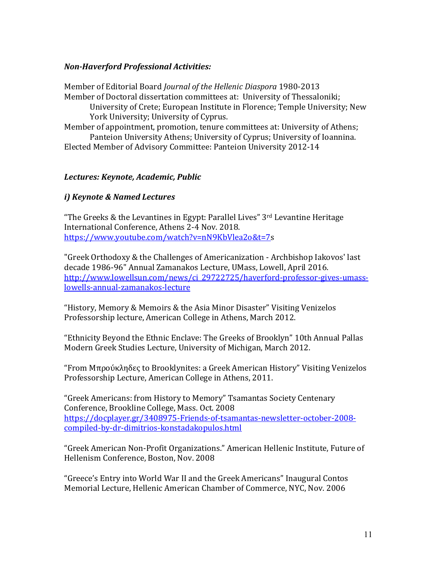## *Non-Haverford Professional Activities:*

Member of Editorial Board *Journal of the Hellenic Diaspora* 1980-2013 Member of Doctoral dissertation committees at: University of Thessaloniki; University of Crete; European Institute in Florence; Temple University; New York University; University of Cyprus. Member of appointment, promotion, tenure committees at: University of Athens;

Panteion University Athens; University of Cyprus; University of Ioannina. Elected Member of Advisory Committee: Panteion University 2012-14

### *Lectures: Keynote, Academic, Public*

# *i) Keynote & Named Lectures*

"The Greeks & the Levantines in Egypt: Parallel Lives"  $3<sup>rd</sup>$  Levantine Heritage International Conference, Athens 2-4 Nov. 2018. https://www.youtube.com/watch?v=nN9KbVlea2o&t=7s

"Greek Orthodoxy & the Challenges of Americanization - Archbishop Iakovos' last decade 1986-96" Annual Zamanakos Lecture, UMass, Lowell, April 2016. http://www.lowellsun.com/news/ci\_29722725/haverford-professor-gives-umasslowells-annual-zamanakos-lecture

"History, Memory & Memoirs & the Asia Minor Disaster" Visiting Venizelos Professorship lecture, American College in Athens, March 2012.

"Ethnicity Beyond the Ethnic Enclave: The Greeks of Brooklyn" 10th Annual Pallas Modern Greek Studies Lecture, University of Michigan, March 2012.

"From Μπρούκληδες to Brooklynites: a Greek American History" Visiting Venizelos Professorship Lecture, American College in Athens, 2011.

"Greek Americans: from History to Memory" Tsamantas Society Centenary Conference, Brookline College, Mass. Oct. 2008 https://docplayer.gr/3408975-Friends-of-tsamantas-newsletter-october-2008 compiled-by-dr-dimitrios-konstadakopulos.html

"Greek American Non-Profit Organizations." American Hellenic Institute, Future of Hellenism Conference, Boston, Nov. 2008

"Greece's Entry into World War II and the Greek Americans" Inaugural Contos Memorial Lecture, Hellenic American Chamber of Commerce, NYC, Nov. 2006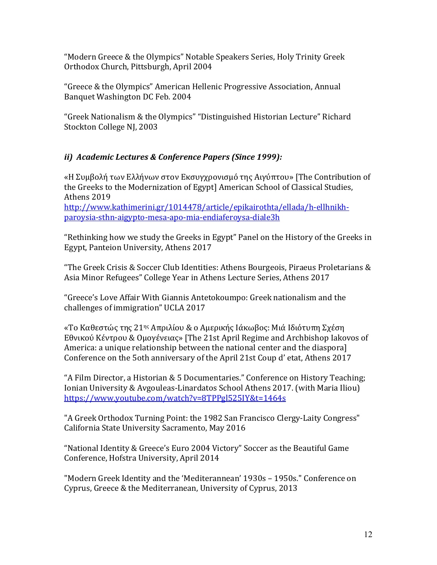"Modern Greece & the Olympics" Notable Speakers Series, Holy Trinity Greek Orthodox Church, Pittsburgh, April 2004

"Greece & the Olympics" American Hellenic Progressive Association, Annual Banquet Washington DC Feb. 2004

"Greek Nationalism & the Olympics" "Distinguished Historian Lecture" Richard Stockton College NJ, 2003

# *ii) Academic Lectures & Conference Papers (Since 1999):*

«Η Συμβολή των Ελλήνων στον Εκσυγχρονισμό της Αιγύπτου» [The Contribution of the Greeks to the Modernization of Egypt] American School of Classical Studies, Athens 2019

http://www.kathimerini.gr/1014478/article/epikairothta/ellada/h-ellhnikhparoysia-sthn-aigypto-mesa-apo-mia-endiaferoysa-diale3h

"Rethinking how we study the Greeks in Egypt" Panel on the History of the Greeks in Egypt, Panteion University, Athens 2017

"The Greek Crisis & Soccer Club Identities: Athens Bourgeois, Piraeus Proletarians & Asia Minor Refugees" College Year in Athens Lecture Series, Athens 2017

"Greece's Love Affair With Giannis Antetokoumpo: Greek nationalism and the challenges of immigration" UCLA 2017

«Το Καθεστώς της 21ης Απριλίου & ο Αμερικής Ιάκωβος: Μιά Ιδιότυπη Σχέση Εθνικού Κέντρου & Ομογένειας» [The 21st April Regime and Archbishop Iakovos of America: a unique relationship between the national center and the diasporal Conference on the 5oth anniversary of the April 21st Coup d' etat, Athens 2017

"A Film Director, a Historian & 5 Documentaries." Conference on History Teaching; Ionian University & Avgouleas-Linardatos School Athens 2017. (with Maria Iliou) https://www.youtube.com/watch?v=8TPPgl525IY&t=1464s

"A Greek Orthodox Turning Point: the 1982 San Francisco Clergy-Laity Congress" California State University Sacramento, May 2016

"National Identity & Greece's Euro 2004 Victory" Soccer as the Beautiful Game Conference, Hofstra University, April 2014

"Modern Greek Identity and the 'Mediterannean' 1930s - 1950s." Conference on Cyprus, Greece & the Mediterranean, University of Cyprus, 2013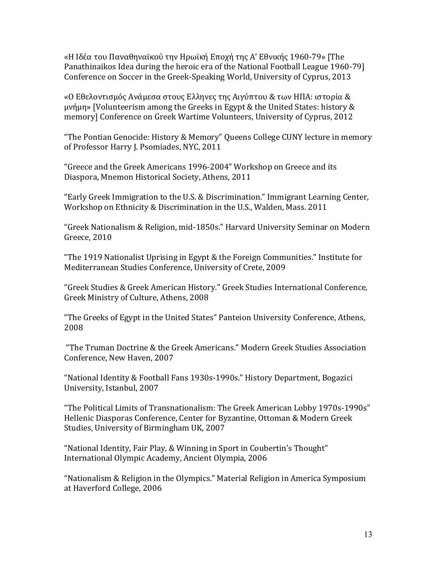«Η Ιδέα του Παναθηναϊκού την Ηρωϊκή Εποχή της Α' Εθνικής 1960-79» [The Panathinaikos Idea during the heroic era of the National Football League 1960-79] Conference on Soccer in the Greek-Speaking World, University of Cyprus, 2013

«Ο Εθελοντισμός Ανάμεσα στους Ελληνες της Αιγύπτου & των ΗΠΑ: ιστορία &  $\mu\nu\eta\mu\eta$ » [Volunteerism among the Greeks in Egypt & the United States: history & memory] Conference on Greek Wartime Volunteers, University of Cyprus, 2012

"The Pontian Genocide: History & Memory" Queens College CUNY lecture in memory of Professor Harry J. Psomiades, NYC, 2011

"Greece and the Greek Americans 1996-2004" Workshop on Greece and its Diaspora, Mnemon Historical Society, Athens, 2011

"Early Greek Immigration to the U.S. & Discrimination." Immigrant Learning Center, Workshop on Ethnicity & Discrimination in the U.S., Walden, Mass. 2011

"Greek Nationalism & Religion, mid-1850s." Harvard University Seminar on Modern Greece, 2010

"The 1919 Nationalist Uprising in Egypt & the Foreign Communities." Institute for Mediterranean Studies Conference, University of Crete, 2009

"Greek Studies & Greek American History." Greek Studies International Conference, Greek Ministry of Culture, Athens, 2008

"The Greeks of Egypt in the United States" Panteion University Conference, Athens, 2008

"The Truman Doctrine & the Greek Americans." Modern Greek Studies Association Conference, New Haven, 2007

"National Identity & Football Fans 1930s-1990s." History Department, Bogazici University, Istanbul, 2007

"The Political Limits of Transnationalism: The Greek American Lobby 1970s-1990s" Hellenic Diasporas Conference, Center for Byzantine, Ottoman & Modern Greek Studies, University of Birmingham UK, 2007

"National Identity, Fair Play, & Winning in Sport in Coubertin's Thought" International Olympic Academy, Ancient Olympia, 2006

"Nationalism & Religion in the Olympics." Material Religion in America Symposium at Haverford College, 2006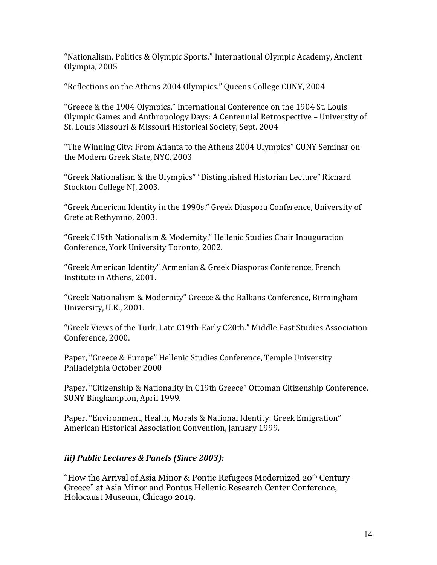"Nationalism, Politics & Olympic Sports." International Olympic Academy, Ancient Olympia, 2005

"Reflections on the Athens 2004 Olympics." Queens College CUNY, 2004

"Greece & the 1904 Olympics." International Conference on the 1904 St. Louis Olympic Games and Anthropology Days: A Centennial Retrospective - University of St. Louis Missouri & Missouri Historical Society, Sept. 2004

"The Winning City: From Atlanta to the Athens 2004 Olympics" CUNY Seminar on the Modern Greek State, NYC, 2003

"Greek Nationalism & the Olympics" "Distinguished Historian Lecture" Richard Stockton College NJ, 2003.

"Greek American Identity in the 1990s." Greek Diaspora Conference, University of Crete at Rethymno, 2003.

"Greek C19th Nationalism & Modernity." Hellenic Studies Chair Inauguration Conference, York University Toronto, 2002.

"Greek American Identity" Armenian & Greek Diasporas Conference, French Institute in Athens, 2001.

"Greek Nationalism & Modernity" Greece & the Balkans Conference, Birmingham University, U.K., 2001.

"Greek Views of the Turk, Late C19th-Early C20th." Middle East Studies Association Conference, 2000.

Paper, "Greece & Europe" Hellenic Studies Conference, Temple University Philadelphia October 2000

Paper, "Citizenship & Nationality in C19th Greece" Ottoman Citizenship Conference, SUNY Binghampton, April 1999.

Paper, "Environment, Health, Morals & National Identity: Greek Emigration" American Historical Association Convention, January 1999.

# *iii) Public Lectures & Panels (Since 2003):*

"How the Arrival of Asia Minor & Pontic Refugees Modernized 20th Century Greece" at Asia Minor and Pontus Hellenic Research Center Conference, Holocaust Museum, Chicago 2019.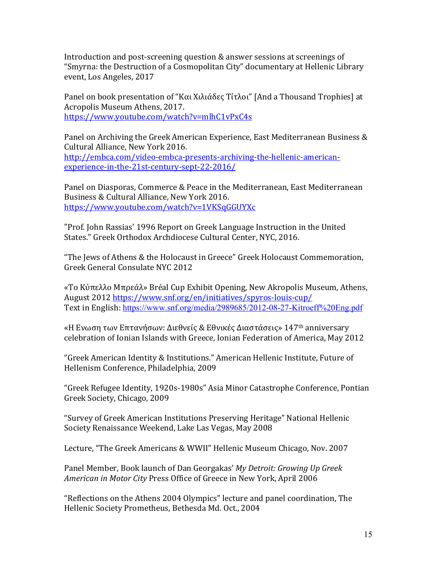Introduction and post-screening question & answer sessions at screenings of "Smyrna: the Destruction of a Cosmopolitan City" documentary at Hellenic Library event, Los Angeles, 2017

Panel on book presentation of "Και Χιλιάδες Τίτλοι" [And a Thousand Trophies] at Acropolis Museum Athens, 2017. https://www.youtube.com/watch?v=mlhC1vPxC4s

Panel on Archiving the Greek American Experience, East Mediterranean Business & Cultural Alliance, New York 2016. http://embca.com/video-embca-presents-archiving-the-hellenic-americanexperience-in-the-21st-century-sept-22-2016/

Panel on Diasporas, Commerce & Peace in the Mediterranean, East Mediterranean Business & Cultural Alliance, New York 2016. https://www.youtube.com/watch?v=1VKSqGGUYXc

"Prof. John Rassias' 1996 Report on Greek Language Instruction in the United States." Greek Orthodox Archdiocese Cultural Center, NYC, 2016.

"The Jews of Athens & the Holocaust in Greece" Greek Holocaust Commemoration, Greek General Consulate NYC 2012

«Το Κύπελλο Μπρεάλ» Bréal Cup Exhibit Opening, New Akropolis Museum, Athens, August 2012 https://www.snf.org/en/initiatives/spyros-louis-cup/ Text in English: https://www.snf.org/media/2989685/2012-08-27-Kitroeff%20Eng.pdf

«Η Ενωση των Επτανήσων: Διεθνείς & Εθνικές Διαστάσεις» 147<sup>th</sup> anniversary celebration of Ionian Islands with Greece, Ionian Federation of America, May 2012

"Greek American Identity & Institutions." American Hellenic Institute, Future of Hellenism Conference, Philadelphia, 2009

"Greek Refugee Identity, 1920s-1980s" Asia Minor Catastrophe Conference, Pontian Greek Society, Chicago, 2009

"Survey of Greek American Institutions Preserving Heritage" National Hellenic Society Renaissance Weekend, Lake Las Vegas, May 2008

Lecture, "The Greek Americans & WWII" Hellenic Museum Chicago, Nov. 2007

Panel Member, Book launch of Dan Georgakas' My Detroit: Growing Up Greek American in Motor City Press Office of Greece in New York, April 2006

"Reflections on the Athens 2004 Olympics" lecture and panel coordination, The Hellenic Society Prometheus, Bethesda Md. Oct., 2004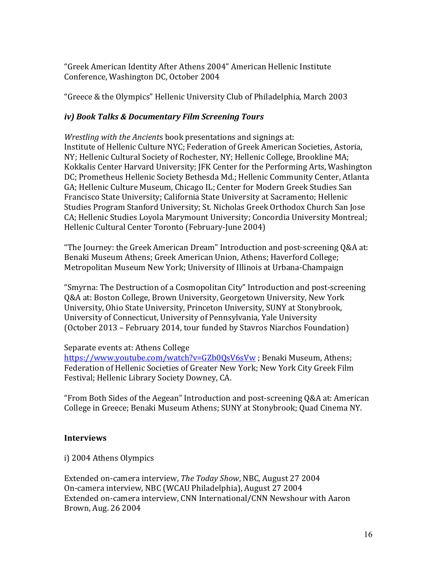"Greek American Identity After Athens 2004" American Hellenic Institute Conference, Washington DC, October 2004

"Greece & the Olympics" Hellenic University Club of Philadelphia, March 2003

## *iv*) Book Talks & Documentary Film Screening Tours

*Wrestling with the Ancients* book presentations and signings at: Institute of Hellenic Culture NYC; Federation of Greek American Societies, Astoria, NY; Hellenic Cultural Society of Rochester, NY; Hellenic College, Brookline MA; Kokkalis Center Harvard University; JFK Center for the Performing Arts, Washington DC; Prometheus Hellenic Society Bethesda Md.; Hellenic Community Center, Atlanta GA; Hellenic Culture Museum, Chicago IL; Center for Modern Greek Studies San Francisco State University; California State University at Sacramento; Hellenic Studies Program Stanford University; St. Nicholas Greek Orthodox Church San Jose CA; Hellenic Studies Loyola Marymount University; Concordia University Montreal; Hellenic Cultural Center Toronto (February-June 2004)

"The Journey: the Greek American Dream" Introduction and post-screening  $Q&A$  at: Benaki Museum Athens; Greek American Union, Athens; Haverford College; Metropolitan Museum New York; University of Illinois at Urbana-Champaign

"Smyrna: The Destruction of a Cosmopolitan City" Introduction and post-screening Q&A at: Boston College, Brown University, Georgetown University, New York University, Ohio State University, Princeton University, SUNY at Stonybrook, University of Connecticut, University of Pennsylvania, Yale University (October 2013 – February 2014, tour funded by Stavros Niarchos Foundation)

#### Separate events at: Athens College

https://www.youtube.com/watch?v=GZb0OsV6sVw ; Benaki Museum, Athens; Federation of Hellenic Societies of Greater New York; New York City Greek Film Festival; Hellenic Library Society Downey, CA.

"From Both Sides of the Aegean" Introduction and post-screening Q&A at: American College in Greece; Benaki Museum Athens; SUNY at Stonybrook; Quad Cinema NY.

#### **Interviews**

i) 2004 Athens Olympics

Extended on-camera interview, *The Today Show*, NBC, August 27 2004 On-camera interview, NBC (WCAU Philadelphia), August 27 2004 Extended on-camera interview, CNN International/CNN Newshour with Aaron Brown, Aug. 26 2004